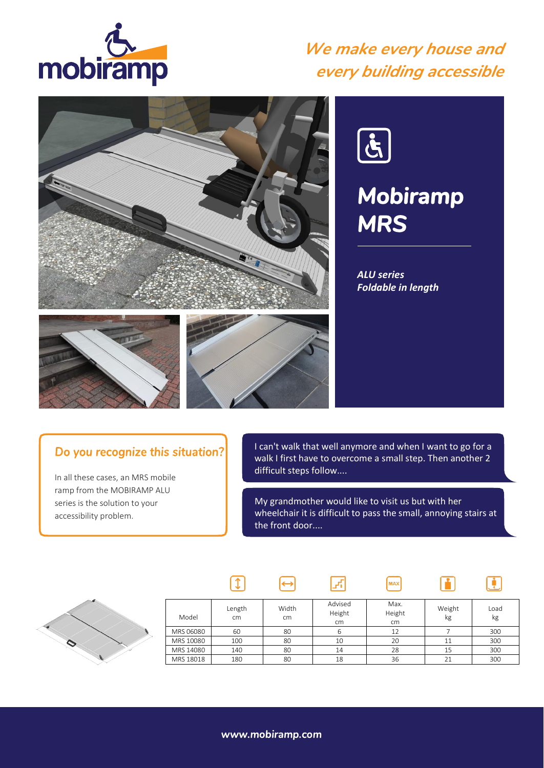

### *We make every house and every building accessible*





# *Mobiramp MRS*

*ALU series Foldable in length*

#### Do you recognize this situation?

In all these cases, an MRS mobile ramp from the MOBIRAMP ALU series is the solution to your accessibility problem.

I can't walk that well anymore and when I want to go for a walk I first have to overcome a small step. Then another 2 difficult steps follow....

My grandmother would like to visit us but with her wheelchair it is difficult to pass the small, annoying stairs at the front door....

**MAX** 

 $\mathbf{F}$ 

 $\boxed{\ddot{\mathbf{r}}}$ 



| Model     | Length<br>cm | Width<br>cm | Advised<br>Height<br>cm | Max.<br>Height<br>cm | Weight<br>kg | Load<br>kg |
|-----------|--------------|-------------|-------------------------|----------------------|--------------|------------|
| MRS 06080 | 60           | 80          | ь                       | 12                   |              | 300        |
| MRS 10080 | 100          | 80          | 10                      | 20                   | 11           | 300        |
| MRS 14080 | 140          | 80          | 14                      | 28                   | 15           | 300        |
| MRS 18018 | 180          | 80          | 18                      | 36                   |              | 300        |

 $\sqrt{r_{\rm s}}$ 

 $\Theta$ 

 $\sqrt{1}$